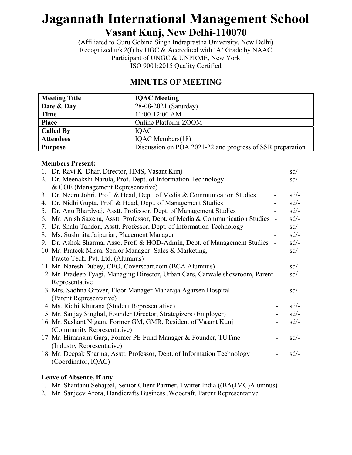(Affiliated to Guru Gobind Singh Indraprastha University, New Delhi) Recognized u/s 2(f) by UGC & Accredited with 'A' Grade by NAAC Participant of UNGC & UNPRME, New York ISO 9001:2015 Quality Certified

### **MINUTES OF MEETING**

| <b>Meeting Title</b> | <b>IQAC</b> Meeting                                       |
|----------------------|-----------------------------------------------------------|
| Date & Day           | 28-08-2021 (Saturday)                                     |
| <b>Time</b>          | $11:00-12:00$ AM                                          |
| <b>Place</b>         | Online Platform-ZOOM                                      |
| <b>Called By</b>     | <b>IOAC</b>                                               |
| <b>Attendees</b>     | IQAC Members(18)                                          |
| <b>Purpose</b>       | Discussion on POA 2021-22 and progress of SSR preparation |

#### **Members Present:**

|    | 1. Dr. Ravi K. Dhar, Director, JIMS, Vasant Kunj                                 |                | sd/-   |
|----|----------------------------------------------------------------------------------|----------------|--------|
|    | 2. Dr. Meenakshi Narula, Prof, Dept. of Information Technology                   |                | sd/-   |
|    | & COE (Management Representative)                                                |                |        |
|    | 3. Dr. Neeru Johri, Prof. & Head, Dept. of Media & Communication Studies         |                | sd/-   |
| 4. | Dr. Nidhi Gupta, Prof. & Head, Dept. of Management Studies                       |                | $sd/-$ |
| 5. | Dr. Anu Bhardwaj, Asstt. Professor, Dept. of Management Studies                  |                | $sd/-$ |
| 6. | Mr. Anish Saxena, Asstt. Professor, Dept. of Media & Communication Studies       | $\blacksquare$ | $sd/-$ |
| 7. | Dr. Shalu Tandon, Asstt. Professor, Dept. of Information Technology              |                | $sd/-$ |
| 8. | Ms. Sushmita Jaipuriar, Placement Manager                                        |                | $sd/-$ |
|    | 9. Dr. Ashok Sharma, Asso. Prof. & HOD-Admin, Dept. of Management Studies        |                | $sd/-$ |
|    | 10. Mr. Prateek Misra, Senior Manager- Sales & Marketing,                        |                | sd/-   |
|    | Practo Tech. Pvt. Ltd. (Alumnus)                                                 |                |        |
|    | 11. Mr. Naresh Dubey, CEO, Coverscart.com (BCA Alumnus)                          |                | $sd/-$ |
|    | 12. Mr. Pradeep Tyagi, Managing Director, Urban Cars, Carwale showroom, Parent - |                | $sd/-$ |
|    | Representative                                                                   |                |        |
|    | 13. Mrs. Sadhna Grover, Floor Manager Maharaja Agarsen Hospital                  |                | $sd/-$ |
|    | (Parent Representative)                                                          |                |        |
|    | 14. Ms. Ridhi Khurana (Student Representative)                                   |                | $sd/-$ |
|    | 15. Mr. Sanjay Singhal, Founder Director, Strategizers (Employer)                |                | sd/-   |
|    | 16. Mr. Sushant Nigam, Former GM, GMR, Resident of Vasant Kunj                   |                | sd/-   |
|    | (Community Representative)                                                       |                |        |
|    | 17. Mr. Himanshu Garg, Former PE Fund Manager & Founder, TUTme                   |                | $sd/-$ |
|    | (Industry Representative)                                                        |                |        |
|    | 18. Mr. Deepak Sharma, Asstt. Professor, Dept. of Information Technology         |                | $sd/-$ |
|    | (Coordinator, IQAC)                                                              |                |        |
|    |                                                                                  |                |        |

### **Leave of Absence, if any**

- 1. Mr. Shantanu Sehajpal, Senior Client Partner, Twitter India ((BA(JMC)Alumnus)
- 2. Mr. Sanjeev Arora, Handicrafts Business ,Woocraft, Parent Representative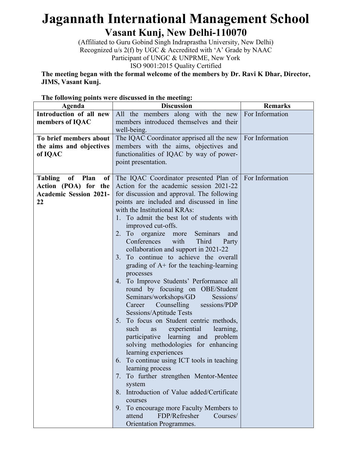(Affiliated to Guru Gobind Singh Indraprastha University, New Delhi) Recognized u/s 2(f) by UGC & Accredited with 'A' Grade by NAAC Participant of UNGC & UNPRME, New York ISO 9001:2015 Quality Certified

**The meeting began with the formal welcome of the members by Dr. Ravi K Dhar, Director, JIMS, Vasant Kunj.** 

**The following points were discussed in the meeting:** 

| Agenda                        | $\blacksquare$ points were discussed in the incentigu<br><b>Discussion</b> | <b>Remarks</b>  |
|-------------------------------|----------------------------------------------------------------------------|-----------------|
| Introduction of all new       | All the members along with the new                                         | For Information |
| members of IQAC               | members introduced themselves and their                                    |                 |
|                               | well-being.                                                                |                 |
| To brief members about        | The IQAC Coordinator apprised all the new                                  | For Information |
| the aims and objectives       | members with the aims, objectives and                                      |                 |
| of IQAC                       | functionalities of IQAC by way of power-                                   |                 |
|                               | point presentation.                                                        |                 |
|                               |                                                                            |                 |
| of Plan<br>Tabling<br>of      | The IQAC Coordinator presented Plan of For Information                     |                 |
| Action (POA) for the          | Action for the academic session 2021-22                                    |                 |
| <b>Academic Session 2021-</b> | for discussion and approval. The following                                 |                 |
| 22                            | points are included and discussed in line                                  |                 |
|                               | with the Institutional KRAs:                                               |                 |
|                               | 1. To admit the best lot of students with                                  |                 |
|                               | improved cut-offs.                                                         |                 |
|                               | 2. To organize more Seminars<br>and                                        |                 |
|                               | Conferences with<br>Third<br>Party                                         |                 |
|                               | collaboration and support in 2021-22                                       |                 |
|                               | 3. To continue to achieve the overall                                      |                 |
|                               | grading of $A$ + for the teaching-learning                                 |                 |
|                               | processes                                                                  |                 |
|                               | To Improve Students' Performance all<br>4.                                 |                 |
|                               | round by focusing on OBE/Student                                           |                 |
|                               | Seminars/workshops/GD<br>Sessions/                                         |                 |
|                               | Counselling sessions/PDP<br>Career                                         |                 |
|                               | Sessions/Aptitude Tests                                                    |                 |
|                               | 5. To focus on Student centric methods,                                    |                 |
|                               | such<br>experiential<br>learning,<br>as                                    |                 |
|                               | participative learning and problem                                         |                 |
|                               | solving methodologies for enhancing                                        |                 |
|                               | learning experiences                                                       |                 |
|                               | 6. To continue using ICT tools in teaching                                 |                 |
|                               | learning process                                                           |                 |
|                               | To further strengthen Mentor-Mentee<br>7.                                  |                 |
|                               | system                                                                     |                 |
|                               | Introduction of Value added/Certificate<br>8.                              |                 |
|                               | courses                                                                    |                 |
|                               | 9. To encourage more Faculty Members to                                    |                 |
|                               | FDP/Refresher<br>attend<br>Courses/                                        |                 |
|                               | Orientation Programmes.                                                    |                 |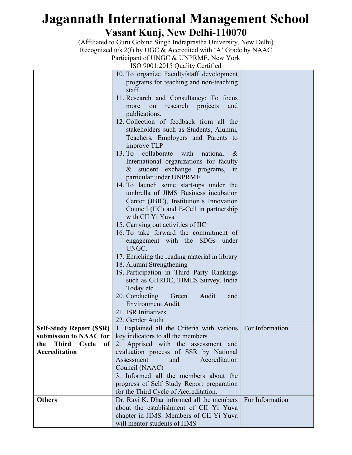(Affiliated to Guru Gobind Singh Indraprastha University, New Delhi)

Recognized u/s 2(f) by UGC & Accredited with 'A' Grade by NAAC

Participant of UNGC & UNPRME, New York

ISO 9001:2015 Quality Certified

|                                | 100 7001.2019 Quality Cuttinu                     |                 |
|--------------------------------|---------------------------------------------------|-----------------|
|                                | 10. To organize Faculty/staff development         |                 |
|                                | programs for teaching and non-teaching            |                 |
|                                | staff.                                            |                 |
|                                | 11. Research and Consultancy: To focus            |                 |
|                                | research projects<br>more<br>on<br>and            |                 |
|                                | publications.                                     |                 |
|                                |                                                   |                 |
|                                | 12. Collection of feedback from all the           |                 |
|                                | stakeholders such as Students, Alumni,            |                 |
|                                | Teachers, Employers and Parents to                |                 |
|                                | improve TLP                                       |                 |
|                                | 13. To<br>collaborate<br>with<br>national<br>$\&$ |                 |
|                                | International organizations for faculty           |                 |
|                                | student exchange programs, in<br>$\alpha$         |                 |
|                                | particular under UNPRME.                          |                 |
|                                | 14. To launch some start-ups under the            |                 |
|                                | umbrella of JIMS Business incubation              |                 |
|                                | Center (JBIC), Institution's Innovation           |                 |
|                                |                                                   |                 |
|                                | Council (IIC) and E-Cell in partnership           |                 |
|                                | with CII Yi Yuva                                  |                 |
|                                | 15. Carrying out activities of IIC                |                 |
|                                | 16. To take forward the commitment of             |                 |
|                                | engagement with the SDGs under                    |                 |
|                                | UNGC.                                             |                 |
|                                | 17. Enriching the reading material in library     |                 |
|                                | 18. Alumni Strengthening                          |                 |
|                                | 19. Participation in Third Party Rankings         |                 |
|                                | such as GHRDC, TIMES Survey, India                |                 |
|                                |                                                   |                 |
|                                | Today etc.                                        |                 |
|                                | 20. Conducting<br>Green<br>Audit<br>and           |                 |
|                                | <b>Environment Audit</b>                          |                 |
|                                | 21. ISR Initiatives                               |                 |
|                                | 22. Gender Audit                                  |                 |
| <b>Self-Study Report (SSR)</b> | 1. Explained all the Criteria with various        | For Information |
| submission to NAAC for         | key indicators to all the members                 |                 |
| Third Cycle<br>of<br>the       | 2. Apprised with the assessment and               |                 |
| <b>Accreditation</b>           | evaluation process of SSR by National             |                 |
|                                | Assessment<br>and<br>Accreditation                |                 |
|                                | Council (NAAC)                                    |                 |
|                                | 3. Informed all the members about the             |                 |
|                                | progress of Self Study Report preparation         |                 |
|                                | for the Third Cycle of Accreditation.             |                 |
|                                | Dr. Ravi K. Dhar informed all the members         |                 |
| <b>Others</b>                  |                                                   | For Information |
|                                | about the establishment of CII Yi Yuva            |                 |
|                                | chapter in JIMS. Members of CII Yi Yuva           |                 |
|                                | will mentor students of JIMS                      |                 |